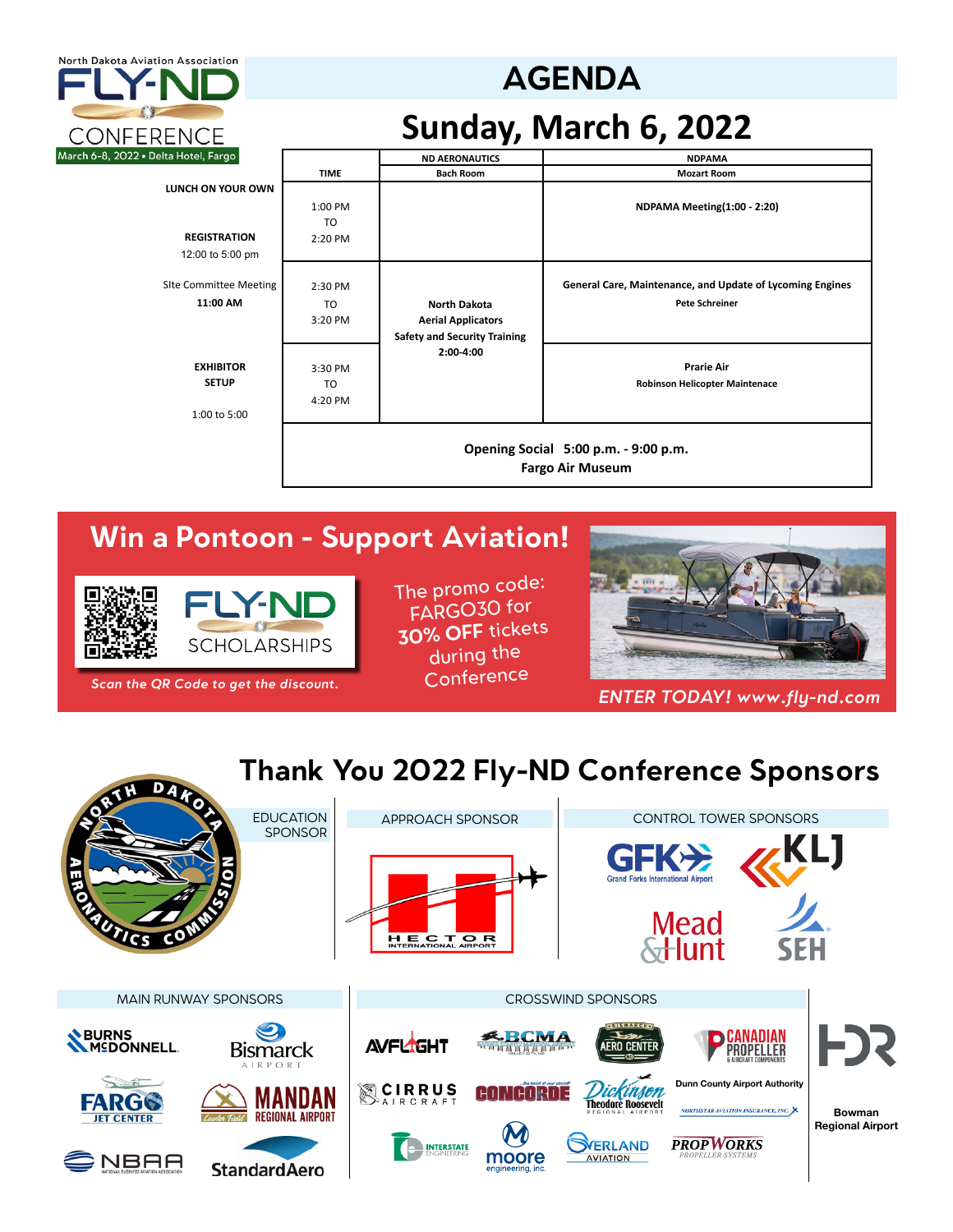

## **SUNDA**

### **TIME Bach Room Mozart Room Sunday, March 6, 2022**

| Delta Hotel, Fargo            |                                      | <b>ND AERONAUTICS</b>               | <b>NDPAMA</b>                                             |  |  |  |
|-------------------------------|--------------------------------------|-------------------------------------|-----------------------------------------------------------|--|--|--|
|                               | <b>TIME</b>                          | <b>Bach Room</b>                    | <b>Mozart Room</b>                                        |  |  |  |
| LUNCH ON YOUR OWN             |                                      |                                     |                                                           |  |  |  |
|                               | 1:00 PM                              |                                     | <b>NDPAMA Meeting(1:00 - 2:20)</b>                        |  |  |  |
|                               | TO                                   |                                     |                                                           |  |  |  |
| <b>REGISTRATION</b>           | 2:20 PM                              |                                     |                                                           |  |  |  |
| 12:00 to 5:00 pm              |                                      |                                     |                                                           |  |  |  |
|                               |                                      |                                     |                                                           |  |  |  |
| <b>Site Committee Meeting</b> | 2:30 PM                              |                                     | General Care, Maintenance, and Update of Lycoming Engines |  |  |  |
| 11:00 AM                      | TO                                   | <b>North Dakota</b>                 | <b>Pete Schreiner</b>                                     |  |  |  |
|                               | 3:20 PM                              | <b>Aerial Applicators</b>           |                                                           |  |  |  |
|                               |                                      | <b>Safety and Security Training</b> |                                                           |  |  |  |
|                               |                                      | 2:00-4:00                           |                                                           |  |  |  |
| <b>EXHIBITOR</b>              | 3:30 PM                              |                                     | <b>Prarie Air</b>                                         |  |  |  |
| <b>SETUP</b>                  | TO                                   |                                     | <b>Robinson Helicopter Maintenace</b>                     |  |  |  |
|                               | 4:20 PM                              |                                     |                                                           |  |  |  |
| 1:00 to 5:00                  |                                      |                                     |                                                           |  |  |  |
|                               |                                      |                                     |                                                           |  |  |  |
|                               | Opening Social 5:00 p.m. - 9:00 p.m. |                                     |                                                           |  |  |  |
|                               | <b>Fargo Air Museum</b>              |                                     |                                                           |  |  |  |
|                               |                                      |                                     |                                                           |  |  |  |

#### **Win a Pontoon - Support Aviation!**



**Scan the QR Code to get the discount.** 

The promo code: FARGO30 for **30% OFF** tickets during the<br>Conference



*ENTER TODAY! www.fly-nd.com*

#### **Thank You 2022 Fly-ND Conference Sponsors**

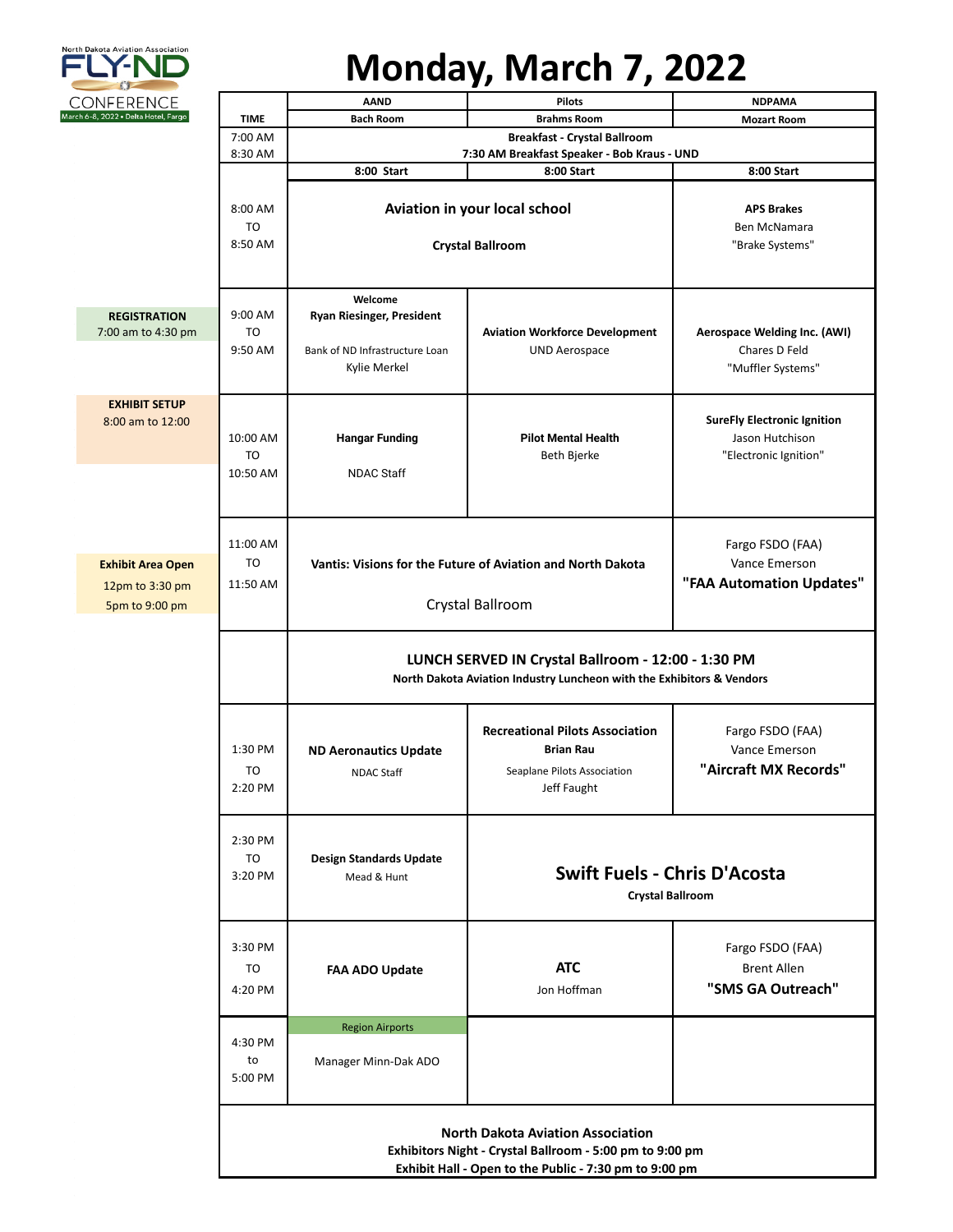

# **Monday, March 7, 2022**

| CONFERENCE                                                         |                                                                                                                                                                | <b>AAND</b>                                                                                                                 | <b>Pilots</b>                                                                                            | <b>NDPAMA</b>                                                                  |  |
|--------------------------------------------------------------------|----------------------------------------------------------------------------------------------------------------------------------------------------------------|-----------------------------------------------------------------------------------------------------------------------------|----------------------------------------------------------------------------------------------------------|--------------------------------------------------------------------------------|--|
| arch 6-8, 2022 • Delta Hotel, Fargo                                | <b>TIME</b>                                                                                                                                                    | <b>Bach Room</b>                                                                                                            | <b>Brahms Room</b>                                                                                       | <b>Mozart Room</b>                                                             |  |
|                                                                    | 7:00 AM                                                                                                                                                        |                                                                                                                             | <b>Breakfast - Crystal Ballroom</b>                                                                      |                                                                                |  |
|                                                                    | 8:30 AM                                                                                                                                                        | 7:30 AM Breakfast Speaker - Bob Kraus - UND                                                                                 |                                                                                                          |                                                                                |  |
|                                                                    |                                                                                                                                                                | 8:00 Start                                                                                                                  | 8:00 Start                                                                                               | 8:00 Start                                                                     |  |
|                                                                    | 8:00 AM<br>TO<br>8:50 AM                                                                                                                                       | Aviation in your local school<br><b>Crystal Ballroom</b>                                                                    |                                                                                                          | <b>APS Brakes</b><br>Ben McNamara<br>"Brake Systems"                           |  |
| <b>REGISTRATION</b><br>7:00 am to 4:30 pm                          | 9:00 AM<br>TO<br>9:50 AM                                                                                                                                       | Welcome<br><b>Ryan Riesinger, President</b><br>Bank of ND Infrastructure Loan<br>Kylie Merkel                               | <b>Aviation Workforce Development</b><br><b>UND Aerospace</b>                                            | Aerospace Welding Inc. (AWI)<br>Chares D Feld<br>"Muffler Systems"             |  |
| <b>EXHIBIT SETUP</b><br>8:00 am to 12:00                           | 10:00 AM<br>T <sub>O</sub><br>10:50 AM                                                                                                                         | <b>Hangar Funding</b><br><b>NDAC Staff</b>                                                                                  | <b>Pilot Mental Health</b><br>Beth Bjerke                                                                | <b>SureFly Electronic Ignition</b><br>Jason Hutchison<br>"Electronic Ignition" |  |
| <b>Exhibit Area Open</b><br>12 $pm$ to 3:30 $pm$<br>5pm to 9:00 pm | 11:00 AM<br>T <sub>O</sub><br>11:50 AM                                                                                                                         | Vantis: Visions for the Future of Aviation and North Dakota<br>Crystal Ballroom                                             |                                                                                                          | Fargo FSDO (FAA)<br>Vance Emerson<br>"FAA Automation Updates"                  |  |
|                                                                    |                                                                                                                                                                | LUNCH SERVED IN Crystal Ballroom - 12:00 - 1:30 PM<br>North Dakota Aviation Industry Luncheon with the Exhibitors & Vendors |                                                                                                          |                                                                                |  |
|                                                                    | 1:30 PM<br>TO<br>2:20 PM                                                                                                                                       | <b>ND Aeronautics Update</b><br><b>NDAC Staff</b>                                                                           | <b>Recreational Pilots Association</b><br><b>Brian Rau</b><br>Seaplane Pilots Association<br>Jeff Faught | Fargo FSDO (FAA)<br>Vance Emerson<br>"Aircraft MX Records"                     |  |
|                                                                    | 2:30 PM<br><b>TO</b><br>3:20 PM                                                                                                                                | Design Standards Update<br>Mead & Hunt                                                                                      | <b>Swift Fuels - Chris D'Acosta</b><br><b>Crystal Ballroom</b>                                           |                                                                                |  |
|                                                                    | 3:30 PM<br>TO<br>4:20 PM                                                                                                                                       | <b>FAA ADO Update</b>                                                                                                       | <b>ATC</b><br>Jon Hoffman                                                                                | Fargo FSDO (FAA)<br><b>Brent Allen</b><br>"SMS GA Outreach"                    |  |
|                                                                    | 4:30 PM<br>to<br>5:00 PM                                                                                                                                       | <b>Region Airports</b><br>Manager Minn-Dak ADO                                                                              |                                                                                                          |                                                                                |  |
|                                                                    | <b>North Dakota Aviation Association</b><br>Exhibitors Night - Crystal Ballroom - 5:00 pm to 9:00 pm<br>Exhibit Hall - Open to the Public - 7:30 pm to 9:00 pm |                                                                                                                             |                                                                                                          |                                                                                |  |